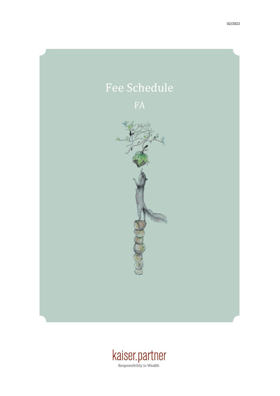

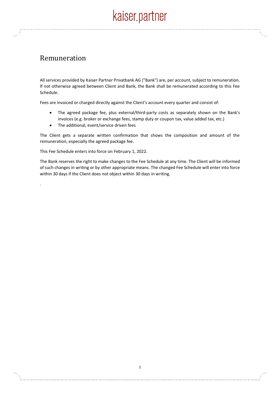## Remuneration

.

All services provided by Kaiser Partner Privatbank AG ("Bank") are, per account, subject to remuneration. If not otherwise agreed between Client and Bank, the Bank shall be remunerated according to this Fee Schedule.

Fees are invoiced or charged directly against the Client's account every quarter and consist of:

- The agreed package fee, plus external/third-party costs as separately shown on the Bank's invoices (e.g. broker or exchange fees, stamp duty or coupon tax, value added tax, etc.)
- The additional, event/service driven fees

The Client gets a separate written confirmation that shows the composition and amount of the remuneration, especially the agreed package fee.

This Fee Schedule enters into force on February 1, 2022.

The Bank reserves the right to make changes to the Fee Schedule at any time. The Client will be informed of such changes in writing or by other appropriate means. The changed Fee Schedule will enter into force within 30 days if the Client does not object within 30 days in writing.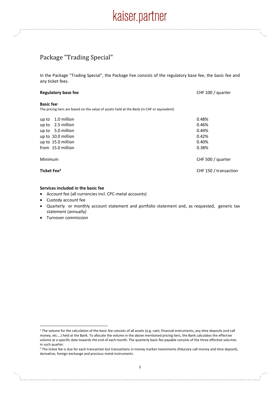#### Package "Trading Special"

In the Package "Trading Special", the Package Fee consists of the regulatory base fee, the basic fee and any ticket fees.

| <b>Regulatory base fee</b>                                                                                  | CHF 100 / quarter     |
|-------------------------------------------------------------------------------------------------------------|-----------------------|
| Basic fee $1$<br>The pricing tiers are based on the value of assets held at the Bank (in CHF or equivalent) |                       |
| 1.0 million<br>up to                                                                                        | 0.48%                 |
| 2.5 million<br>up to                                                                                        | 0.46%                 |
| up to 5.0 million                                                                                           | 0.44%                 |
| up to 10.0 million                                                                                          | 0.42%                 |
| up to 15.0 million                                                                                          | 0.40%                 |
| from 15.0 million                                                                                           | 0.38%                 |
| Minimum                                                                                                     | CHF 500 / quarter     |
| Ticket Fee <sup>2</sup>                                                                                     | CHF 150 / transaction |

#### **Services included in the basic fee**

- Account fee (all currencies incl. CPC-metal accounts)
- Custody account fee
- Quarterly or monthly account statement and portfolio statement and, as requested, generic tax statement (annually)
- Turnover commission

<sup>&</sup>lt;sup>1</sup> The volume for the calculation of the basic fee consists of all assets (e.g. cash, financial instruments, any time deposits and call money, etc….) held at the Bank. To allocate the volume in the above mentioned pricing tiers, the Bank calculates the effective volume at a specific date towards the end of each month. The quarterly basic fee payable consists of the three effective volumes in such quarter.

<sup>&</sup>lt;sup>2</sup> The ticket fee is due for each transaction but transactions in money market investments (fiduciary call-money and time deposit), derivative, foreign exchange and precious metal instruments.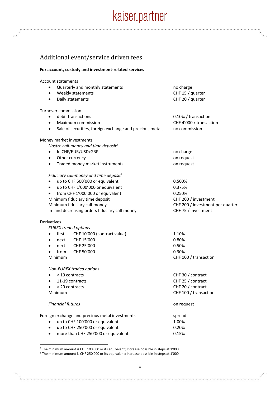## Additional event/service driven fees

#### **For account, custody and investment-related services**

### Account statements

| ٠                            | Quarterly and monthly statements                         | no charge                        |
|------------------------------|----------------------------------------------------------|----------------------------------|
|                              | Weekly statements                                        | CHF 15 / quarter                 |
| $\bullet$                    | Daily statements                                         | CHF 20 / quarter                 |
|                              | Turnover commission                                      |                                  |
|                              | debit transactions                                       | 0.10% / transaction              |
| $\bullet$                    | Maximum commission                                       | CHF 4'000 / transaction          |
| $\bullet$                    | Sale of securities, foreign exchange and precious metals | no commission                    |
|                              | Money market investments                                 |                                  |
|                              | Nostro call-money and time deposit <sup>3</sup>          |                                  |
| $\bullet$                    | In CHF/EUR/USD/GBP                                       | no charge                        |
| $\bullet$                    | Other currency                                           | on request                       |
| ٠                            | Traded money market instruments                          | on request                       |
|                              | Fiduciary call-money and time deposit <sup>4</sup>       |                                  |
| ٠                            | up to CHF 500'000 or equivalent                          | 0.500%                           |
| $\bullet$                    | up to CHF 1'000'000 or equivalent                        | 0.375%                           |
|                              | from CHF 1'000'000 or equivalent                         | 0.250%                           |
|                              | Minimum fiduciary time deposit                           | CHF 200 / investment             |
|                              | Minimum fiduciary call-money                             | CHF 200 / investment per quarter |
|                              | In- and decreasing orders fiduciary call-money           | CHF 75 / investment              |
| <b>Derivatives</b>           |                                                          |                                  |
|                              | <b>EUREX traded options</b>                              |                                  |
| $\bullet$                    | CHF 10'000 (contract value)<br>first                     | 1.10%                            |
| ٠                            | CHF 15'000<br>next                                       | 0.80%                            |
|                              | CHF 25'000<br>next                                       | 0.50%                            |
|                              | CHF 50'000<br>from                                       | 0.30%                            |
| Minimum                      |                                                          | CHF 100 / transaction            |
|                              | Non-EUREX traded options                                 |                                  |
|                              | < 10 contracts                                           | CHF 30 / contract                |
| 11-19 contracts<br>$\bullet$ |                                                          | CHF 25 / contract                |
| > 20 contracts<br>$\bullet$  |                                                          | CHF 20 / contract                |
| Minimum                      |                                                          | CHF 100 / transaction            |
|                              | <b>Financial futures</b>                                 | on request                       |
|                              | Foreign exchange and precious metal investments          | spread                           |
|                              | up to CHF 100'000 or equivalent                          | 1.00%                            |
|                              | up to CHF 250'000 or equivalent                          | 0.20%                            |
|                              | more than CHF 250'000 or equivalent                      | 0.15%                            |

<sup>3</sup> The minimum amount is CHF 100'000 or its equivalent; Increase possible in steps at 1'000 <sup>4</sup> The minimum amount is CHF 250'000 or its equivalent; Increase possible in steps at 1'000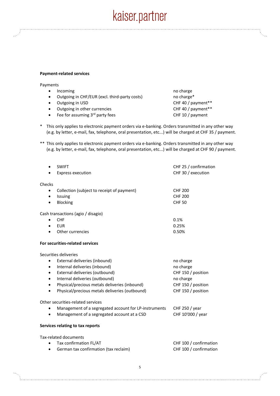#### **Payment-related services**

Payments

- Incoming **no charge** no charge no charge
- Outgoing in CHF/EUR (excl. third-party costs) no charge\*
- 
- Outgoing in other currencies CHF 40 / payment\*\*
- Fee for assuming 3<sup>rd</sup> party fees CHF 10 / payment
- Outgoing in USD CHF 40 / payment\*\*
- \* This only applies to electronic payment orders via e-banking. Orders transmitted in any other way (e.g. by letter, e-mail, fax, telephone, oral presentation, etc...) will be charged at CHF 35 / payment.
- \*\* This only applies to electronic payment orders via e-banking. Orders transmitted in any other way (e.g. by letter, e-mail, fax, telephone, oral presentation, etc...) will be charged at CHF 90 / payment.

| $\bullet$ | <b>SWIFT</b><br><b>Express execution</b>              | CHF 25 / confirmation<br>CHF 30 / execution |
|-----------|-------------------------------------------------------|---------------------------------------------|
| Checks    |                                                       |                                             |
| ٠         | Collection (subject to receipt of payment)            | <b>CHF 200</b>                              |
| $\bullet$ | Issuing                                               | <b>CHF 200</b>                              |
| $\bullet$ | Blocking                                              | <b>CHF 50</b>                               |
|           | Cash transactions (agio / disagio)                    |                                             |
| $\bullet$ | <b>CHF</b>                                            | 0.1%                                        |
| $\bullet$ | <b>EUR</b>                                            | 0.25%                                       |
|           | Other currencies                                      | 0.50%                                       |
|           | For securities-related services                       |                                             |
|           | Securities deliveries                                 |                                             |
| $\bullet$ | External deliveries (inbound)                         | no charge                                   |
| ٠         | Internal deliveries (inbound)                         | no charge                                   |
| $\bullet$ | External deliveries (outbound)                        | CHF 150 / position                          |
| $\bullet$ | Internal deliveries (outbound)                        | no charge                                   |
| $\bullet$ | Physical/precious metals deliveries (inbound)         | CHF 150 / position                          |
| $\bullet$ | Physical/precious metals deliveries (outbound)        | CHF 150 / position                          |
|           | Other securities-related services                     |                                             |
|           | Management of a segregated account for LP-instruments | CHF 250 / year                              |
|           | Management of a segregated account at a CSD           | CHF 10'000 / year                           |
|           | Services relating to tax reports                      |                                             |
|           | Tax-related documents                                 |                                             |
| ٠         | Tax confirmation FL/AT                                | CHF 100 / confirmation                      |
|           | German tax confirmation (tax reclaim)                 | CHF 100 / confirmation                      |